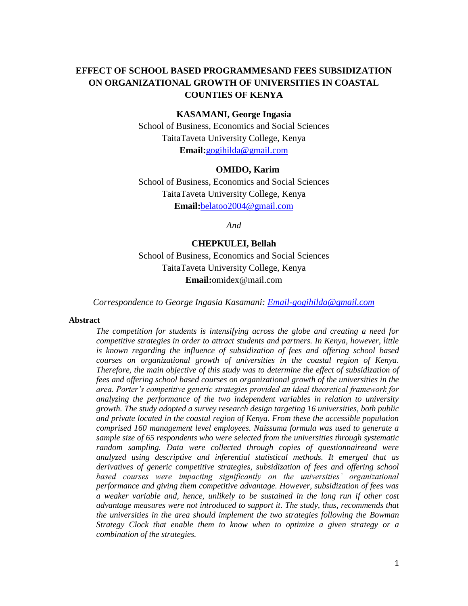# **EFFECT OF SCHOOL BASED PROGRAMMESAND FEES SUBSIDIZATION ON ORGANIZATIONAL GROWTH OF UNIVERSITIES IN COASTAL COUNTIES OF KENYA**

#### **KASAMANI, George Ingasia**

School of Business, Economics and Social Sciences TaitaTaveta University College, Kenya **Email:**[gogihilda@gmail.com](mailto:gogihilda@gmail.com)

#### **OMIDO, Karim**

School of Business, Economics and Social Sciences TaitaTaveta University College, Kenya **Email:**[belatoo2004@gmail.com](mailto:belatoo2004@gmail.com)

*And* 

#### **CHEPKULEI, Bellah**

School of Business, Economics and Social Sciences TaitaTaveta University College, Kenya **Email:**omidex@mail.com

*Correspondence to George Ingasia Kasamani: [Email-gogihilda@gmail.com](mailto:Email-gogihilda@gmail.com)*

#### **Abstract**

*The competition for students is intensifying across the globe and creating a need for competitive strategies in order to attract students and partners. In Kenya, however, little*  is known regarding the influence of subsidization of fees and offering school based *courses on organizational growth of universities in the coastal region of Kenya. Therefore, the main objective of this study was to determine the effect of subsidization of fees and offering school based courses on organizational growth of the universities in the area. Porter's competitive generic strategies provided an ideal theoretical framework for analyzing the performance of the two independent variables in relation to university growth. The study adopted a survey research design targeting 16 universities, both public and private located in the coastal region of Kenya. From these the accessible population comprised 160 management level employees. Naissuma formula was used to generate a sample size of 65 respondents who were selected from the universities through systematic random sampling. Data were collected through copies of questionnaireand were analyzed using descriptive and inferential statistical methods. It emerged that as derivatives of generic competitive strategies, subsidization of fees and offering school*  based courses were impacting significantly on the universities' organizational *performance and giving them competitive advantage. However, subsidization of fees was a weaker variable and, hence, unlikely to be sustained in the long run if other cost advantage measures were not introduced to support it. The study, thus, recommends that the universities in the area should implement the two strategies following the Bowman Strategy Clock that enable them to know when to optimize a given strategy or a combination of the strategies.*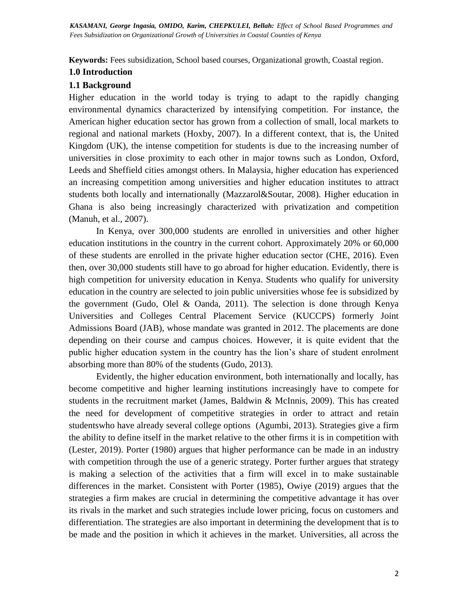**Keywords:** Fees subsidization, School based courses, Organizational growth, Coastal region.

# **1.0 Introduction**

#### **1.1 Background**

Higher education in the world today is trying to adapt to the rapidly changing environmental dynamics characterized by intensifying competition. For instance, the American higher education sector has grown from a collection of small, local markets to regional and national markets (Hoxby, 2007). In a different context, that is, the United Kingdom (UK), the intense competition for students is due to the increasing number of universities in close proximity to each other in major towns such as London, Oxford, Leeds and Sheffield cities amongst others. In Malaysia, higher education has experienced an increasing competition among universities and higher education institutes to attract students both locally and internationally (Mazzarol&Soutar, 2008). Higher education in Ghana is also being increasingly characterized with privatization and competition (Manuh, et al., 2007).

In Kenya, over 300,000 students are enrolled in universities and other higher education institutions in the country in the current cohort. Approximately 20% or 60,000 of these students are enrolled in the private higher education sector (CHE, 2016). Even then, over 30,000 students still have to go abroad for higher education. Evidently, there is high competition for university education in Kenya. Students who qualify for university education in the country are selected to join public universities whose fee is subsidized by the government (Gudo, Olel & Oanda, 2011). The selection is done through Kenya Universities and Colleges Central Placement Service (KUCCPS) formerly Joint Admissions Board (JAB), whose mandate was granted in 2012. The placements are done depending on their course and campus choices. However, it is quite evident that the public higher education system in the country has the lion's share of student enrolment absorbing more than 80% of the students (Gudo, 2013).

Evidently, the higher education environment, both internationally and locally, has become competitive and higher learning institutions increasingly have to compete for students in the recruitment market (James, Baldwin & McInnis, 2009). This has created the need for development of competitive strategies in order to attract and retain studentswho have already several college options (Agumbi, 2013). Strategies give a firm the ability to define itself in the market relative to the other firms it is in competition with (Lester, 2019). Porter (1980) argues that higher performance can be made in an industry with competition through the use of a generic strategy. Porter further argues that strategy is making a selection of the activities that a firm will excel in to make sustainable differences in the market. Consistent with Porter (1985), Owiye (2019) argues that the strategies a firm makes are crucial in determining the competitive advantage it has over its rivals in the market and such strategies include lower pricing, focus on customers and differentiation. The strategies are also important in determining the development that is to be made and the position in which it achieves in the market. Universities, all across the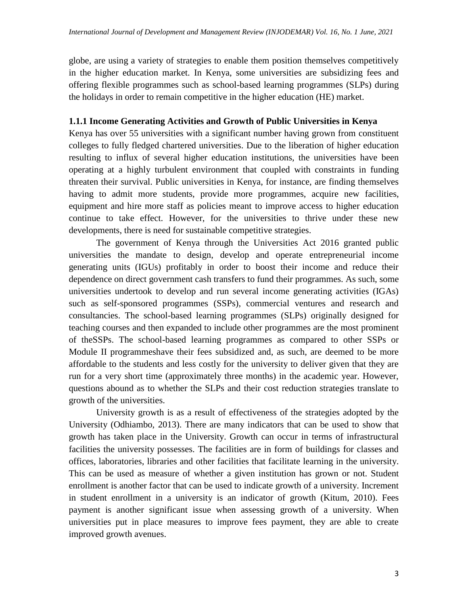globe, are using a variety of strategies to enable them position themselves competitively in the higher education market. In Kenya, some universities are subsidizing fees and offering flexible programmes such as school-based learning programmes (SLPs) during the holidays in order to remain competitive in the higher education (HE) market.

## **1.1.1 Income Generating Activities and Growth of Public Universities in Kenya**

Kenya has over 55 universities with a significant number having grown from constituent colleges to fully fledged chartered universities. Due to the liberation of higher education resulting to influx of several higher education institutions, the universities have been operating at a highly turbulent environment that coupled with constraints in funding threaten their survival. Public universities in Kenya, for instance, are finding themselves having to admit more students, provide more programmes, acquire new facilities, equipment and hire more staff as policies meant to improve access to higher education continue to take effect. However, for the universities to thrive under these new developments, there is need for sustainable competitive strategies.

The government of Kenya through the Universities Act 2016 granted public universities the mandate to design, develop and operate entrepreneurial income generating units (IGUs) profitably in order to boost their income and reduce their dependence on direct government cash transfers to fund their programmes. As such, some universities undertook to develop and run several income generating activities (IGAs) such as self-sponsored programmes (SSPs), commercial ventures and research and consultancies. The school-based learning programmes (SLPs) originally designed for teaching courses and then expanded to include other programmes are the most prominent of theSSPs. The school-based learning programmes as compared to other SSPs or Module II programmeshave their fees subsidized and, as such, are deemed to be more affordable to the students and less costly for the university to deliver given that they are run for a very short time (approximately three months) in the academic year. However, questions abound as to whether the SLPs and their cost reduction strategies translate to growth of the universities.

University growth is as a result of effectiveness of the strategies adopted by the University (Odhiambo, 2013). There are many indicators that can be used to show that growth has taken place in the University. Growth can occur in terms of infrastructural facilities the university possesses. The facilities are in form of buildings for classes and offices, laboratories, libraries and other facilities that facilitate learning in the university. This can be used as measure of whether a given institution has grown or not. Student enrollment is another factor that can be used to indicate growth of a university. Increment in student enrollment in a university is an indicator of growth (Kitum, 2010). Fees payment is another significant issue when assessing growth of a university. When universities put in place measures to improve fees payment, they are able to create improved growth avenues.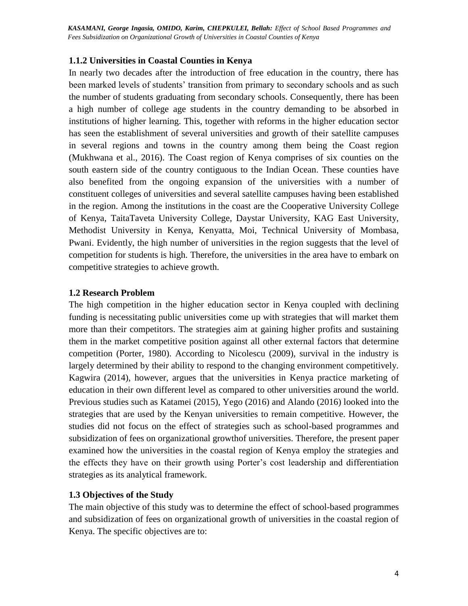## **1.1.2 Universities in Coastal Counties in Kenya**

In nearly two decades after the introduction of free education in the country, there has been marked levels of students' transition from primary to secondary schools and as such the number of students graduating from secondary schools. Consequently, there has been a high number of college age students in the country demanding to be absorbed in institutions of higher learning. This, together with reforms in the higher education sector has seen the establishment of several universities and growth of their satellite campuses in several regions and towns in the country among them being the Coast region (Mukhwana et al., 2016). The Coast region of Kenya comprises of six counties on the south eastern side of the country contiguous to the Indian Ocean. These counties have also benefited from the ongoing expansion of the universities with a number of constituent colleges of universities and several satellite campuses having been established in the region. Among the institutions in the coast are the Cooperative University College of Kenya, TaitaTaveta University College, Daystar University, KAG East University, Methodist University in Kenya, Kenyatta, Moi, Technical University of Mombasa, Pwani. Evidently, the high number of universities in the region suggests that the level of competition for students is high. Therefore, the universities in the area have to embark on competitive strategies to achieve growth.

## **1.2 Research Problem**

The high competition in the higher education sector in Kenya coupled with declining funding is necessitating public universities come up with strategies that will market them more than their competitors. The strategies aim at gaining higher profits and sustaining them in the market competitive position against all other external factors that determine competition (Porter, 1980). According to Nicolescu (2009), survival in the industry is largely determined by their ability to respond to the changing environment competitively. Kagwira (2014), however, argues that the universities in Kenya practice marketing of education in their own different level as compared to other universities around the world. Previous studies such as Katamei (2015), Yego (2016) and Alando (2016) looked into the strategies that are used by the Kenyan universities to remain competitive. However, the studies did not focus on the effect of strategies such as school-based programmes and subsidization of fees on organizational growthof universities. Therefore, the present paper examined how the universities in the coastal region of Kenya employ the strategies and the effects they have on their growth using Porter's cost leadership and differentiation strategies as its analytical framework.

# **1.3 Objectives of the Study**

The main objective of this study was to determine the effect of school-based programmes and subsidization of fees on organizational growth of universities in the coastal region of Kenya. The specific objectives are to: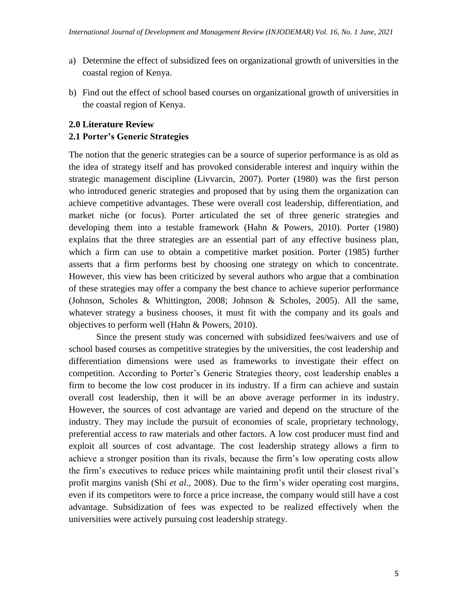- a) Determine the effect of subsidized fees on organizational growth of universities in the coastal region of Kenya.
- b) Find out the effect of school based courses on organizational growth of universities in the coastal region of Kenya.

# **2.0 Literature Review**

# **2.1 Porter's Generic Strategies**

The notion that the generic strategies can be a source of superior performance is as old as the idea of strategy itself and has provoked considerable interest and inquiry within the strategic management discipline (Livvarcin, 2007). Porter (1980) was the first person who introduced generic strategies and proposed that by using them the organization can achieve competitive advantages. These were overall cost leadership, differentiation, and market niche (or focus). Porter articulated the set of three generic strategies and developing them into a testable framework (Hahn & Powers, 2010). Porter (1980) explains that the three strategies are an essential part of any effective business plan, which a firm can use to obtain a competitive market position. Porter (1985) further asserts that a firm performs best by choosing one strategy on which to concentrate. However, this view has been criticized by several authors who argue that a combination of these strategies may offer a company the best chance to achieve superior performance (Johnson, Scholes & Whittington, 2008; Johnson & Scholes, 2005). All the same, whatever strategy a business chooses, it must fit with the company and its goals and objectives to perform well (Hahn & Powers, 2010).

Since the present study was concerned with subsidized fees/waivers and use of school based courses as competitive strategies by the universities, the cost leadership and differentiation dimensions were used as frameworks to investigate their effect on competition. According to Porter's Generic Strategies theory, cost leadership enables a firm to become the low cost producer in its industry. If a firm can achieve and sustain overall cost leadership, then it will be an above average performer in its industry. However, the sources of cost advantage are varied and depend on the structure of the industry. They may include the pursuit of economies of scale, proprietary technology, preferential access to raw materials and other factors. A low cost producer must find and exploit all sources of cost advantage. The cost leadership strategy allows a firm to achieve a stronger position than its rivals, because the firm's low operating costs allow the firm's executives to reduce prices while maintaining profit until their closest rival's profit margins vanish (Shi *et al.,* 2008). Due to the firm's wider operating cost margins, even if its competitors were to force a price increase, the company would still have a cost advantage. Subsidization of fees was expected to be realized effectively when the universities were actively pursuing cost leadership strategy.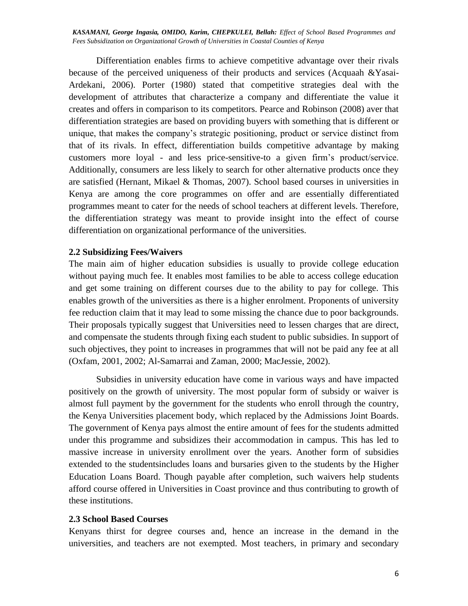Differentiation enables firms to achieve competitive advantage over their rivals because of the perceived uniqueness of their products and services (Acquaah &Yasai-Ardekani, 2006). Porter (1980) stated that competitive strategies deal with the development of attributes that characterize a company and differentiate the value it creates and offers in comparison to its competitors. Pearce and Robinson (2008) aver that differentiation strategies are based on providing buyers with something that is different or unique, that makes the company's strategic positioning, product or service distinct from that of its rivals. In effect, differentiation builds competitive advantage by making customers more loyal - and less price-sensitive-to a given firm's product/service. Additionally, consumers are less likely to search for other alternative products once they are satisfied (Hernant, Mikael & Thomas, 2007). School based courses in universities in Kenya are among the core programmes on offer and are essentially differentiated programmes meant to cater for the needs of school teachers at different levels. Therefore, the differentiation strategy was meant to provide insight into the effect of course differentiation on organizational performance of the universities.

#### **2.2 Subsidizing Fees/Waivers**

The main aim of higher education subsidies is usually to provide college education without paying much fee. It enables most families to be able to access college education and get some training on different courses due to the ability to pay for college. This enables growth of the universities as there is a higher enrolment. Proponents of university fee reduction claim that it may lead to some missing the chance due to poor backgrounds. Their proposals typically suggest that Universities need to lessen charges that are direct, and compensate the students through fixing each student to public subsidies. In support of such objectives, they point to increases in programmes that will not be paid any fee at all (Oxfam, 2001, 2002; Al-Samarrai and Zaman, 2000; MacJessie, 2002).

Subsidies in university education have come in various ways and have impacted positively on the growth of university. The most popular form of subsidy or waiver is almost full payment by the government for the students who enroll through the country, the Kenya Universities placement body, which replaced by the Admissions Joint Boards. The government of Kenya pays almost the entire amount of fees for the students admitted under this programme and subsidizes their accommodation in campus. This has led to massive increase in university enrollment over the years. Another form of subsidies extended to the studentsincludes loans and bursaries given to the students by the Higher Education Loans Board. Though payable after completion, such waivers help students afford course offered in Universities in Coast province and thus contributing to growth of these institutions.

#### **2.3 School Based Courses**

Kenyans thirst for degree courses and, hence an increase in the demand in the universities, and teachers are not exempted. Most teachers, in primary and secondary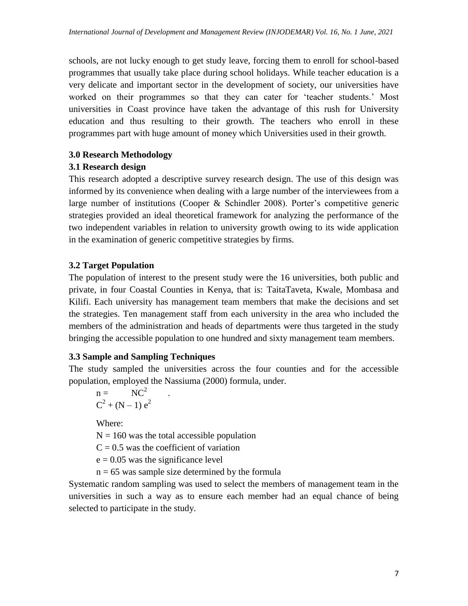schools, are not lucky enough to get study leave, forcing them to enroll for school-based programmes that usually take place during school holidays. While teacher education is a very delicate and important sector in the development of society, our universities have worked on their programmes so that they can cater for 'teacher students.' Most universities in Coast province have taken the advantage of this rush for University education and thus resulting to their growth. The teachers who enroll in these programmes part with huge amount of money which Universities used in their growth.

# **3.0 Research Methodology**

# **3.1 Research design**

This research adopted a descriptive survey research design. The use of this design was informed by its convenience when dealing with a large number of the interviewees from a large number of institutions (Cooper & Schindler 2008). Porter's competitive generic strategies provided an ideal theoretical framework for analyzing the performance of the two independent variables in relation to university growth owing to its wide application in the examination of generic competitive strategies by firms.

# **3.2 Target Population**

The population of interest to the present study were the 16 universities, both public and private, in four Coastal Counties in Kenya, that is: TaitaTaveta, Kwale, Mombasa and Kilifi. Each university has management team members that make the decisions and set the strategies. Ten management staff from each university in the area who included the members of the administration and heads of departments were thus targeted in the study bringing the accessible population to one hundred and sixty management team members.

# **3.3 Sample and Sampling Techniques**

The study sampled the universities across the four counties and for the accessible population, employed the Nassiuma (2000) formula, under.

$$
n = NC2
$$
  

$$
C2 + (N-1) e2
$$

Where:

 $N = 160$  was the total accessible population

 $C = 0.5$  was the coefficient of variation

 $e = 0.05$  was the significance level

 $n = 65$  was sample size determined by the formula

Systematic random sampling was used to select the members of management team in the universities in such a way as to ensure each member had an equal chance of being selected to participate in the study.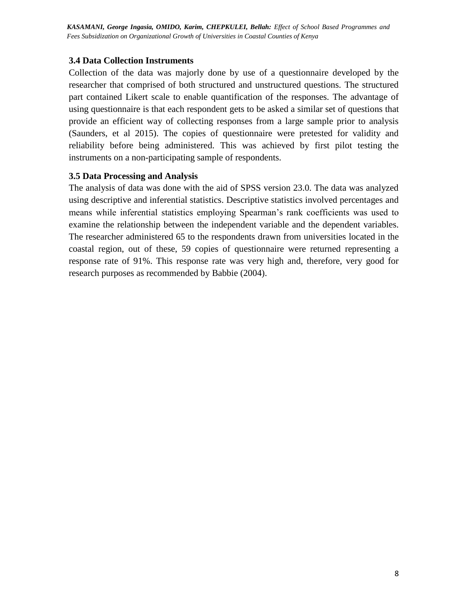*International Journal of Development and Management Review (INJODEMAR) Vol. 16, No. 1 June, 2021 Fees Subsidization on Organizational Growth of Universities in Coastal Counties of KenyaKASAMANI, George Ingasia, OMIDO, Karim, CHEPKULEI, Bellah: Effect of School Based Programmes and* 

## **3.4 Data Collection Instruments**

Collection of the data was majorly done by use of a questionnaire developed by the researcher that comprised of both structured and unstructured questions. The structured part contained Likert scale to enable quantification of the responses. The advantage of using questionnaire is that each respondent gets to be asked a similar set of questions that provide an efficient way of collecting responses from a large sample prior to analysis (Saunders, et al 2015). The copies of questionnaire were pretested for validity and reliability before being administered. This was achieved by first pilot testing the instruments on a non-participating sample of respondents.

## **3.5 Data Processing and Analysis**

The analysis of data was done with the aid of SPSS version 23.0. The data was analyzed using descriptive and inferential statistics. Descriptive statistics involved percentages and means while inferential statistics employing Spearman's rank coefficients was used to examine the relationship between the independent variable and the dependent variables. The researcher administered 65 to the respondents drawn from universities located in the coastal region, out of these, 59 copies of questionnaire were returned representing a response rate of 91%. This response rate was very high and, therefore, very good for research purposes as recommended by Babbie (2004).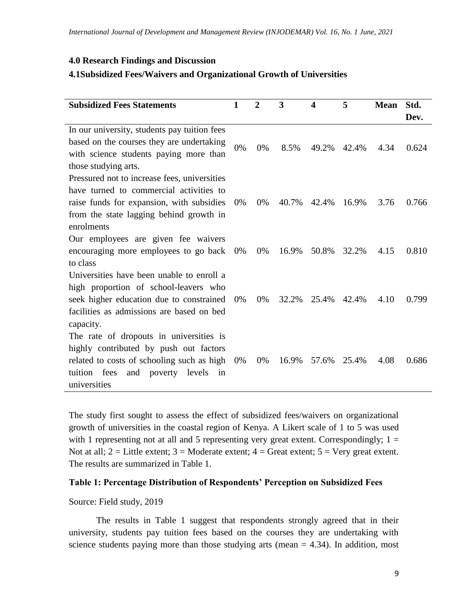## **4.0 Research Findings and Discussion**

## **4.1Subsidized Fees/Waivers and Organizational Growth of Universities**

| <b>Subsidized Fees Statements</b>            | 1     | $\overline{2}$ | 3     | 4     | 5     | <b>Mean</b> | Std.  |
|----------------------------------------------|-------|----------------|-------|-------|-------|-------------|-------|
|                                              |       |                |       |       |       |             | Dev.  |
| In our university, students pay tuition fees |       |                |       |       |       |             |       |
| based on the courses they are undertaking    | 0%    | 0%             | 8.5%  | 49.2% | 42.4% | 4.34        | 0.624 |
| with science students paying more than       |       |                |       |       |       |             |       |
| those studying arts.                         |       |                |       |       |       |             |       |
| Pressured not to increase fees, universities |       |                |       |       |       |             |       |
| have turned to commercial activities to      |       |                |       |       |       |             |       |
| raise funds for expansion, with subsidies    | 0%    | 0%             | 40.7% | 42.4% | 16.9% | 3.76        | 0.766 |
| from the state lagging behind growth in      |       |                |       |       |       |             |       |
| enrolments                                   |       |                |       |       |       |             |       |
| Our employees are given fee waivers          |       |                |       |       |       |             |       |
| encouraging more employees to go back        | 0%    | $0\%$          | 16.9% | 50.8% | 32.2% | 4.15        | 0.810 |
| to class                                     |       |                |       |       |       |             |       |
| Universities have been unable to enroll a    |       |                |       |       |       |             |       |
| high proportion of school-leavers who        |       |                |       |       |       |             |       |
| seek higher education due to constrained     | $0\%$ | 0%             | 32.2% | 25.4% | 42.4% | 4.10        | 0.799 |
| facilities as admissions are based on bed    |       |                |       |       |       |             |       |
| capacity.                                    |       |                |       |       |       |             |       |
| The rate of dropouts in universities is      |       |                |       |       |       |             |       |
| highly contributed by push out factors       |       |                |       |       |       |             |       |
| related to costs of schooling such as high   | 0%    | 0%             | 16.9% | 57.6% | 25.4% | 4.08        | 0.686 |
| tuition fees<br>and<br>poverty levels<br>in  |       |                |       |       |       |             |       |
| universities                                 |       |                |       |       |       |             |       |

The study first sought to assess the effect of subsidized fees/waivers on organizational growth of universities in the coastal region of Kenya. A Likert scale of 1 to 5 was used with 1 representing not at all and 5 representing very great extent. Correspondingly;  $1 =$ Not at all;  $2 =$  Little extent;  $3 =$  Moderate extent;  $4 =$  Great extent;  $5 =$  Very great extent. The results are summarized in Table 1.

## **Table 1: Percentage Distribution of Respondents' Perception on Subsidized Fees**

#### Source: Field study, 2019

The results in Table 1 suggest that respondents strongly agreed that in their university, students pay tuition fees based on the courses they are undertaking with science students paying more than those studying arts (mean  $= 4.34$ ). In addition, most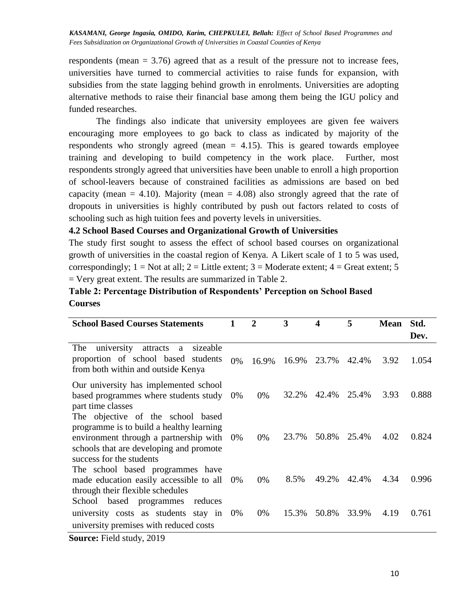respondents (mean = 3.76) agreed that as a result of the pressure not to increase fees, universities have turned to commercial activities to raise funds for expansion, with subsidies from the state lagging behind growth in enrolments. Universities are adopting alternative methods to raise their financial base among them being the IGU policy and funded researches.

The findings also indicate that university employees are given fee waivers encouraging more employees to go back to class as indicated by majority of the respondents who strongly agreed (mean  $= 4.15$ ). This is geared towards employee training and developing to build competency in the work place. Further, most respondents strongly agreed that universities have been unable to enroll a high proportion of school-leavers because of constrained facilities as admissions are based on bed capacity (mean  $= 4.10$ ). Majority (mean  $= 4.08$ ) also strongly agreed that the rate of dropouts in universities is highly contributed by push out factors related to costs of schooling such as high tuition fees and poverty levels in universities.

#### **4.2 School Based Courses and Organizational Growth of Universities**

The study first sought to assess the effect of school based courses on organizational growth of universities in the coastal region of Kenya. A Likert scale of 1 to 5 was used, correspondingly;  $1 = Not$  at all;  $2 = Little$  extent;  $3 = Model$  moderate extent;  $4 = Great$  extent;  $5 = 5$  $=$  Very great extent. The results are summarized in Table 2.

# **Table 2: Percentage Distribution of Respondents' Perception on School Based Courses**

| <b>School Based Courses Statements</b>                                                                                                                                                         |       | $\overline{2}$ | 3     | 4     | 5     | <b>Mean</b> | Std.  |
|------------------------------------------------------------------------------------------------------------------------------------------------------------------------------------------------|-------|----------------|-------|-------|-------|-------------|-------|
|                                                                                                                                                                                                |       |                |       |       |       |             | Dev.  |
| university attracts<br>sizeable<br>The<br>a<br>proportion of school based students<br>from both within and outside Kenya                                                                       | 0%    | 16.9%          | 16.9% | 23.7% | 42.4% | 3.92        | 1.054 |
| Our university has implemented school<br>based programmes where students study<br>part time classes                                                                                            | $0\%$ | $0\%$          | 32.2% | 42.4% | 25.4% | 3.93        | 0.888 |
| The objective of the school based<br>programme is to build a healthy learning<br>environment through a partnership with<br>schools that are developing and promote<br>success for the students | $0\%$ | $0\%$          | 23.7% | 50.8% | 25.4% | 4.02        | 0.824 |
| The school based programmes have<br>made education easily accessible to all<br>through their flexible schedules                                                                                | $0\%$ | $0\%$          | 8.5%  | 49.2% | 42.4% | 4.34        | 0.996 |
| School based programmes<br>reduces<br>university costs as students stay in<br>university premises with reduced costs<br>$\sim$<br>$T'$ 11, 1, 0.010                                            | 0%    | $0\%$          | 15.3% | 50.8% | 33.9% | 4.19        | 0.761 |

**Source:** Field study, 2019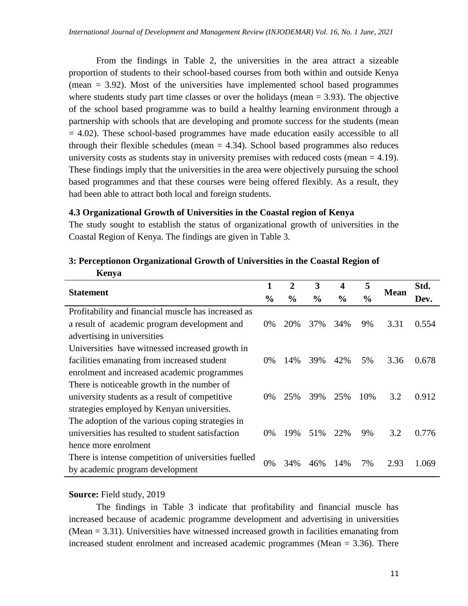From the findings in Table 2, the universities in the area attract a sizeable proportion of students to their school-based courses from both within and outside Kenya (mean = 3.92). Most of the universities have implemented school based programmes where students study part time classes or over the holidays (mean  $= 3.93$ ). The objective of the school based programme was to build a healthy learning environment through a partnership with schools that are developing and promote success for the students (mean  $= 4.02$ ). These school-based programmes have made education easily accessible to all through their flexible schedules (mean  $= 4.34$ ). School based programmes also reduces university costs as students stay in university premises with reduced costs (mean  $=$  4.19). These findings imply that the universities in the area were objectively pursuing the school based programmes and that these courses were being offered flexibly. As a result, they had been able to attract both local and foreign students.

# **4.3 Organizational Growth of Universities in the Coastal region of Kenya**

The study sought to establish the status of organizational growth of universities in the Coastal Region of Kenya. The findings are given in Table 3.

| лхенуа                                               |       |                |               |               |               |             |       |
|------------------------------------------------------|-------|----------------|---------------|---------------|---------------|-------------|-------|
|                                                      | 1     | $\overline{2}$ | 3             | 4             | 5             |             | Std.  |
| <b>Statement</b>                                     |       | $\frac{6}{9}$  | $\frac{0}{0}$ | $\frac{0}{0}$ | $\frac{0}{0}$ | <b>Mean</b> | Dev.  |
| Profitability and financial muscle has increased as  |       |                |               |               |               |             |       |
| a result of academic program development and         | 0%    | 20%            | 37%           | 34%           | 9%            | 3.31        | 0.554 |
| advertising in universities                          |       |                |               |               |               |             |       |
| Universities have witnessed increased growth in      |       |                |               |               |               |             |       |
| facilities emanating from increased student          | $0\%$ | 14%            | 39%           | 42%           | 5%            | 3.36        | 0.678 |
| enrolment and increased academic programmes          |       |                |               |               |               |             |       |
| There is noticeable growth in the number of          |       |                |               |               |               |             |       |
| university students as a result of competitive       | 0%    | 25%            | 39%           | 25%           | 10%           | 3.2         | 0.912 |
| strategies employed by Kenyan universities.          |       |                |               |               |               |             |       |
| The adoption of the various coping strategies in     |       |                |               |               |               |             |       |
| universities has resulted to student satisfaction    | 0%    | 19%            | 51%           | 22%           | 9%            | 3.2         | 0.776 |
| hence more enrolment                                 |       |                |               |               |               |             |       |
| There is intense competition of universities fuelled |       | 34%            |               | 14%           |               | 2.93        |       |
| by academic program development                      | 0%    |                | 46%           |               | 7%            |             | 1.069 |

## **3: Perceptionon Organizational Growth of Universities in the Coastal Region of**   $K_{\text{onvo}}$

# **Source:** Field study, 2019

The findings in Table 3 indicate that profitability and financial muscle has increased because of academic programme development and advertising in universities (Mean = 3.31). Universities have witnessed increased growth in facilities emanating from increased student enrolment and increased academic programmes (Mean = 3.36). There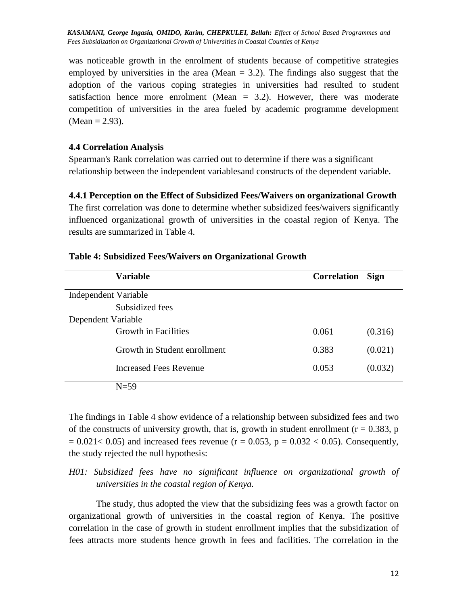was noticeable growth in the enrolment of students because of competitive strategies employed by universities in the area (Mean  $= 3.2$ ). The findings also suggest that the adoption of the various coping strategies in universities had resulted to student satisfaction hence more enrolment (Mean = 3.2). However, there was moderate competition of universities in the area fueled by academic programme development  $(Mean = 2.93)$ .

### **4.4 Correlation Analysis**

Spearman's Rank correlation was carried out to determine if there was a significant relationship between the independent variablesand constructs of the dependent variable.

#### **4.4.1 Perception on the Effect of Subsidized Fees/Waivers on organizational Growth**

The first correlation was done to determine whether subsidized fees/waivers significantly influenced organizational growth of universities in the coastal region of Kenya. The results are summarized in Table 4.

| <b>Variable</b>              | <b>Correlation</b> | <b>Sign</b> |
|------------------------------|--------------------|-------------|
| Independent Variable         |                    |             |
| Subsidized fees              |                    |             |
| Dependent Variable           |                    |             |
| <b>Growth in Facilities</b>  | 0.061              | (0.316)     |
| Growth in Student enrollment | 0.383              | (0.021)     |
| Increased Fees Revenue       | 0.053              | (0.032)     |
| $N=59$                       |                    |             |

#### **Table 4: Subsidized Fees/Waivers on Organizational Growth**

The findings in Table 4 show evidence of a relationship between subsidized fees and two of the constructs of university growth, that is, growth in student enrollment ( $r = 0.383$ , p  $= 0.021 < 0.05$ ) and increased fees revenue (r  $= 0.053$ , p  $= 0.032 < 0.05$ ). Consequently, the study rejected the null hypothesis:

*H01: Subsidized fees have no significant influence on organizational growth of universities in the coastal region of Kenya.* 

The study, thus adopted the view that the subsidizing fees was a growth factor on organizational growth of universities in the coastal region of Kenya. The positive correlation in the case of growth in student enrollment implies that the subsidization of fees attracts more students hence growth in fees and facilities. The correlation in the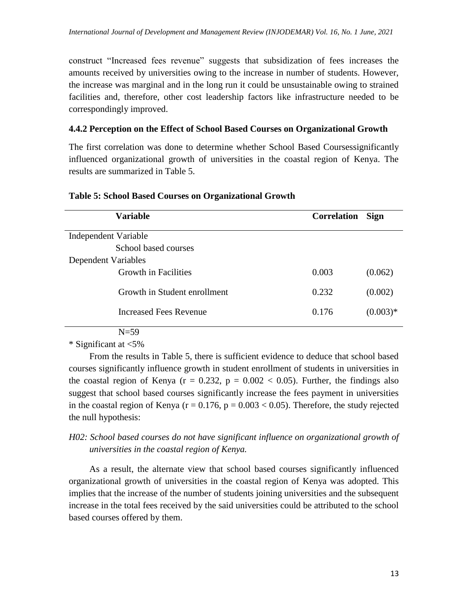construct "Increased fees revenue" suggests that subsidization of fees increases the amounts received by universities owing to the increase in number of students. However, the increase was marginal and in the long run it could be unsustainable owing to strained facilities and, therefore, other cost leadership factors like infrastructure needed to be correspondingly improved.

## **4.4.2 Perception on the Effect of School Based Courses on Organizational Growth**

The first correlation was done to determine whether School Based Coursessignificantly influenced organizational growth of universities in the coastal region of Kenya. The results are summarized in Table 5.

|                      | <b>Variable</b>              | <b>Correlation</b> | <b>Sign</b> |
|----------------------|------------------------------|--------------------|-------------|
| Independent Variable |                              |                    |             |
|                      | School based courses         |                    |             |
| Dependent Variables  |                              |                    |             |
|                      | Growth in Facilities         | 0.003              | (0.062)     |
|                      | Growth in Student enrollment | 0.232              | (0.002)     |
|                      | Increased Fees Revenue       | 0.176              | $(0.003)*$  |
|                      |                              |                    |             |

### **Table 5: School Based Courses on Organizational Growth**

## N=59

\* Significant at <5%

From the results in Table 5, there is sufficient evidence to deduce that school based courses significantly influence growth in student enrollment of students in universities in the coastal region of Kenya ( $r = 0.232$ ,  $p = 0.002 < 0.05$ ). Further, the findings also suggest that school based courses significantly increase the fees payment in universities in the coastal region of Kenya ( $r = 0.176$ ,  $p = 0.003 < 0.05$ ). Therefore, the study rejected the null hypothesis:

# *H02: School based courses do not have significant influence on organizational growth of universities in the coastal region of Kenya.*

As a result, the alternate view that school based courses significantly influenced organizational growth of universities in the coastal region of Kenya was adopted. This implies that the increase of the number of students joining universities and the subsequent increase in the total fees received by the said universities could be attributed to the school based courses offered by them.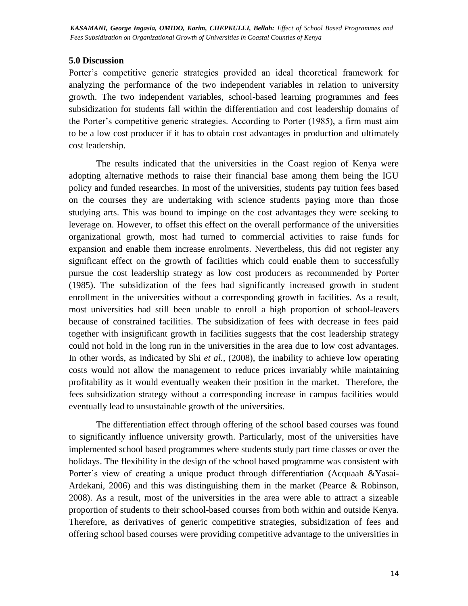#### **5.0 Discussion**

Porter's competitive generic strategies provided an ideal theoretical framework for analyzing the performance of the two independent variables in relation to university growth. The two independent variables, school-based learning programmes and fees subsidization for students fall within the differentiation and cost leadership domains of the Porter's competitive generic strategies. According to Porter (1985), a firm must aim to be a low cost producer if it has to obtain cost advantages in production and ultimately cost leadership.

The results indicated that the universities in the Coast region of Kenya were adopting alternative methods to raise their financial base among them being the IGU policy and funded researches. In most of the universities, students pay tuition fees based on the courses they are undertaking with science students paying more than those studying arts. This was bound to impinge on the cost advantages they were seeking to leverage on. However, to offset this effect on the overall performance of the universities organizational growth, most had turned to commercial activities to raise funds for expansion and enable them increase enrolments. Nevertheless, this did not register any significant effect on the growth of facilities which could enable them to successfully pursue the cost leadership strategy as low cost producers as recommended by Porter (1985). The subsidization of the fees had significantly increased growth in student enrollment in the universities without a corresponding growth in facilities. As a result, most universities had still been unable to enroll a high proportion of school-leavers because of constrained facilities. The subsidization of fees with decrease in fees paid together with insignificant growth in facilities suggests that the cost leadership strategy could not hold in the long run in the universities in the area due to low cost advantages. In other words, as indicated by Shi *et al.,* (2008), the inability to achieve low operating costs would not allow the management to reduce prices invariably while maintaining profitability as it would eventually weaken their position in the market. Therefore, the fees subsidization strategy without a corresponding increase in campus facilities would eventually lead to unsustainable growth of the universities.

The differentiation effect through offering of the school based courses was found to significantly influence university growth. Particularly, most of the universities have implemented school based programmes where students study part time classes or over the holidays. The flexibility in the design of the school based programme was consistent with Porter's view of creating a unique product through differentiation (Acquaah &Yasai-Ardekani, 2006) and this was distinguishing them in the market (Pearce & Robinson, 2008). As a result, most of the universities in the area were able to attract a sizeable proportion of students to their school-based courses from both within and outside Kenya. Therefore, as derivatives of generic competitive strategies, subsidization of fees and offering school based courses were providing competitive advantage to the universities in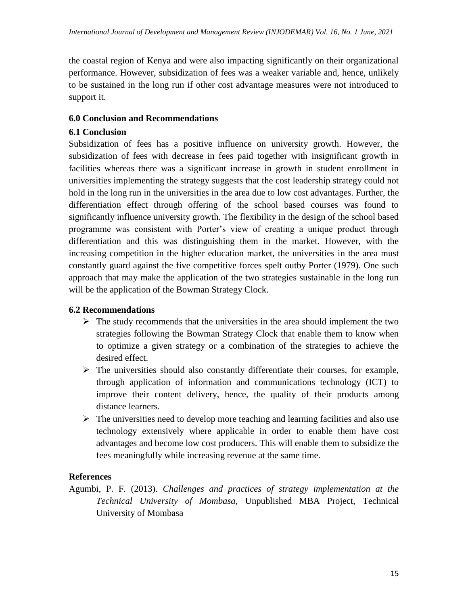the coastal region of Kenya and were also impacting significantly on their organizational performance. However, subsidization of fees was a weaker variable and, hence, unlikely to be sustained in the long run if other cost advantage measures were not introduced to support it.

# **6.0 Conclusion and Recommendations**

# **6.1 Conclusion**

Subsidization of fees has a positive influence on university growth. However, the subsidization of fees with decrease in fees paid together with insignificant growth in facilities whereas there was a significant increase in growth in student enrollment in universities implementing the strategy suggests that the cost leadership strategy could not hold in the long run in the universities in the area due to low cost advantages. Further, the differentiation effect through offering of the school based courses was found to significantly influence university growth. The flexibility in the design of the school based programme was consistent with Porter's view of creating a unique product through differentiation and this was distinguishing them in the market. However, with the increasing competition in the higher education market, the universities in the area must constantly guard against the five competitive forces spelt outby Porter (1979). One such approach that may make the application of the two strategies sustainable in the long run will be the application of the Bowman Strategy Clock.

# **6.2 Recommendations**

- $\triangleright$  The study recommends that the universities in the area should implement the two strategies following the Bowman Strategy Clock that enable them to know when to optimize a given strategy or a combination of the strategies to achieve the desired effect.
- $\triangleright$  The universities should also constantly differentiate their courses, for example, through application of information and communications technology (ICT) to improve their content delivery, hence, the quality of their products among distance learners.
- $\triangleright$  The universities need to develop more teaching and learning facilities and also use technology extensively where applicable in order to enable them have cost advantages and become low cost producers. This will enable them to subsidize the fees meaningfully while increasing revenue at the same time.

# **References**

Agumbi, P. F. (2013). *Challenges and practices of strategy implementation at the Technical University of Mombasa,* Unpublished MBA Project, Technical University of Mombasa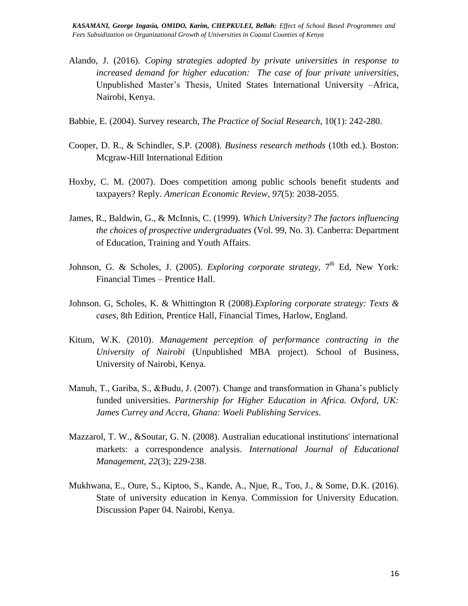- Alando, J. (2016). *Coping strategies adopted by private universities in response to increased demand for higher education: The case of four private universities,* Unpublished Master's Thesis, United States International University –Africa, Nairobi, Kenya.
- Babbie, E. (2004). Survey research, *The Practice of Social Research*, 10(1): 242-280.
- Cooper, D. R., & Schindler, S.P. (2008). *Business research methods* (10th ed.). Boston: Mcgraw-Hill International Edition
- Hoxby, C. M. (2007). Does competition among public schools benefit students and taxpayers? Reply. *American Economic Review*, *97*(5): 2038-2055.
- James, R., Baldwin, G., & McInnis, C. (1999). *Which University? The factors influencing the choices of prospective undergraduates* (Vol. 99, No. 3). Canberra: Department of Education, Training and Youth Affairs.
- Johnson, G. & Scholes, J. (2005). *Exploring corporate strategy*, 7<sup>th</sup> Ed, New York: Financial Times – Prentice Hall.
- Johnson. G, Scholes, K. & Whittington R (2008).*Exploring corporate strategy: Texts & cases,* 8th Edition, Prentice Hall, Financial Times, Harlow, England.
- Kitum, W.K. (2010). *Management perception of performance contracting in the University of Nairobi* (Unpublished MBA project). School of Business, University of Nairobi, Kenya.
- Manuh, T., Gariba, S., &Budu, J. (2007). Change and transformation in Ghana's publicly funded universities. *Partnership for Higher Education in Africa. Oxford, UK: James Currey and Accra, Ghana: Woeli Publishing Services*.
- Mazzarol, T. W., &Soutar, G. N. (2008). Australian educational institutions' international markets: a correspondence analysis. *International Journal of Educational Management*, *22*(3); 229-238.
- Mukhwana, E., Oure, S., Kiptoo, S., Kande, A., Njue, R., Too, J., & Some, D.K. (2016). State of university education in Kenya. Commission for University Education. Discussion Paper 04. Nairobi, Kenya.